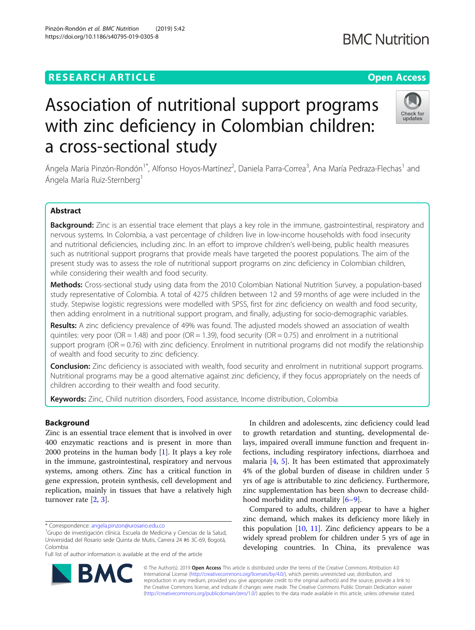## **RESEARCH ARTICLE Example 2018 12:30 THE Open Access**

# Association of nutritional support programs with zinc deficiency in Colombian children: a cross-sectional study

Ángela María Pinzón-Rondón<sup>1\*</sup>, Alfonso Hoyos-Martínez<sup>2</sup>, Daniela Parra-Correa<sup>3</sup>, Ana María Pedraza-Flechas<sup>1</sup> and Ángela María Ruiz-Sternberg<sup>1</sup>

## Abstract

Background: Zinc is an essential trace element that plays a key role in the immune, gastrointestinal, respiratory and nervous systems. In Colombia, a vast percentage of children live in low-income households with food insecurity and nutritional deficiencies, including zinc. In an effort to improve children's well-being, public health measures such as nutritional support programs that provide meals have targeted the poorest populations. The aim of the present study was to assess the role of nutritional support programs on zinc deficiency in Colombian children, while considering their wealth and food security.

Methods: Cross-sectional study using data from the 2010 Colombian National Nutrition Survey, a population-based study representative of Colombia. A total of 4275 children between 12 and 59 months of age were included in the study. Stepwise logistic regressions were modelled with SPSS, first for zinc deficiency on wealth and food security, then adding enrolment in a nutritional support program, and finally, adjusting for socio-demographic variables.

Results: A zinc deficiency prevalence of 49% was found. The adjusted models showed an association of wealth quintiles: very poor ( $OR = 1.48$ ) and poor ( $OR = 1.39$ ), food security ( $OR = 0.75$ ) and enrolment in a nutritional support program (OR = 0.76) with zinc deficiency. Enrolment in nutritional programs did not modify the relationship of wealth and food security to zinc deficiency.

**Conclusion:** Zinc deficiency is associated with wealth, food security and enrolment in nutritional support programs. Nutritional programs may be a good alternative against zinc deficiency, if they focus appropriately on the needs of children according to their wealth and food security.

Keywords: Zinc, Child nutrition disorders, Food assistance, Income distribution, Colombia

## Background

Zinc is an essential trace element that is involved in over 400 enzymatic reactions and is present in more than 2000 proteins in the human body [[1\]](#page-4-0). It plays a key role in the immune, gastrointestinal, respiratory and nervous systems, among others. Zinc has a critical function in gene expression, protein synthesis, cell development and replication, mainly in tissues that have a relatively high turnover rate [[2,](#page-4-0) [3\]](#page-4-0).

Full list of author information is available at the end of the article

In children and adolescents, zinc deficiency could lead to growth retardation and stunting, developmental delays, impaired overall immune function and frequent infections, including respiratory infections, diarrhoea and malaria [[4,](#page-4-0) [5\]](#page-4-0). It has been estimated that approximately 4% of the global burden of disease in children under 5 yrs of age is attributable to zinc deficiency. Furthermore, zinc supplementation has been shown to decrease childhood morbidity and mortality [[6](#page-4-0)–[9](#page-5-0)].

Compared to adults, children appear to have a higher zinc demand, which makes its deficiency more likely in this population  $[10, 11]$  $[10, 11]$  $[10, 11]$  $[10, 11]$ . Zinc deficiency appears to be a widely spread problem for children under 5 yrs of age in developing countries. In China, its prevalence was

© The Author(s). 2019 Open Access This article is distributed under the terms of the Creative Commons Attribution 4.0 International License [\(http://creativecommons.org/licenses/by/4.0/](http://creativecommons.org/licenses/by/4.0/)), which permits unrestricted use, distribution, and reproduction in any medium, provided you give appropriate credit to the original author(s) and the source, provide a link to the Creative Commons license, and indicate if changes were made. The Creative Commons Public Domain Dedication waiver [\(http://creativecommons.org/publicdomain/zero/1.0/](http://creativecommons.org/publicdomain/zero/1.0/)) applies to the data made available in this article, unless otherwise stated.

RA





## **BMC Nutrition**



<sup>&</sup>lt;sup>1</sup>Grupo de investigación clínica. Escuela de Medicina y Ciencias de la Salud, Universidad del Rosario sede Quinta de Mutis, Carrera 24 #6 3C-69, Bogotá, Colombia

<sup>\*</sup> Correspondence: [angela.pinzon@urosario.edu.co](mailto:angela.pinzon@urosario.edu.co) <sup>1</sup>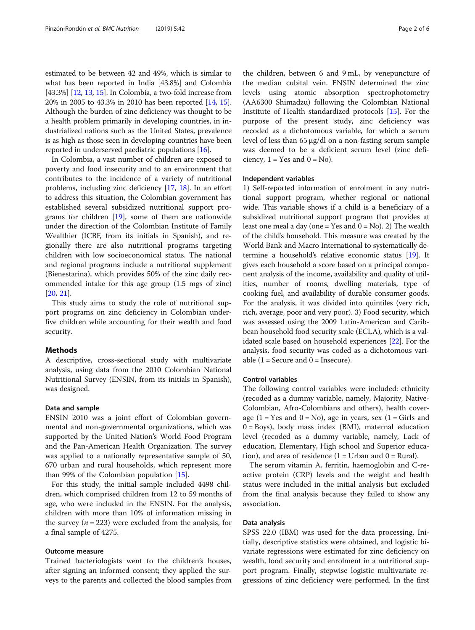estimated to be between 42 and 49%, which is similar to what has been reported in India [43.8%] and Colombia [43.3%] [[12](#page-5-0), [13,](#page-5-0) [15](#page-5-0)]. In Colombia, a two-fold increase from 20% in 2005 to 43.3% in 2010 has been reported [[14](#page-5-0), [15](#page-5-0)]. Although the burden of zinc deficiency was thought to be a health problem primarily in developing countries, in industrialized nations such as the United States, prevalence is as high as those seen in developing countries have been reported in underserved paediatric populations [\[16\]](#page-5-0).

In Colombia, a vast number of children are exposed to poverty and food insecurity and to an environment that contributes to the incidence of a variety of nutritional problems, including zinc deficiency [\[17](#page-5-0), [18](#page-5-0)]. In an effort to address this situation, the Colombian government has established several subsidized nutritional support programs for children [[19\]](#page-5-0), some of them are nationwide under the direction of the Colombian Institute of Family Wealthier (ICBF, from its initials in Spanish), and regionally there are also nutritional programs targeting children with low socioeconomical status. The national and regional programs include a nutritional supplement (Bienestarina), which provides 50% of the zinc daily recommended intake for this age group (1.5 mgs of zinc) [[20,](#page-5-0) [21\]](#page-5-0).

This study aims to study the role of nutritional support programs on zinc deficiency in Colombian underfive children while accounting for their wealth and food security.

#### Methods

A descriptive, cross-sectional study with multivariate analysis, using data from the 2010 Colombian National Nutritional Survey (ENSIN, from its initials in Spanish), was designed.

#### Data and sample

ENSIN 2010 was a joint effort of Colombian governmental and non-governmental organizations, which was supported by the United Nation's World Food Program and the Pan-American Health Organization. The survey was applied to a nationally representative sample of 50, 670 urban and rural households, which represent more than 99% of the Colombian population [[15](#page-5-0)].

For this study, the initial sample included 4498 children, which comprised children from 12 to 59 months of age, who were included in the ENSIN. For the analysis, children with more than 10% of information missing in the survey ( $n = 223$ ) were excluded from the analysis, for a final sample of 4275.

#### Outcome measure

Trained bacteriologists went to the children's houses, after signing an informed consent; they applied the surveys to the parents and collected the blood samples from

the children, between 6 and 9 mL, by venepuncture of the median cubital vein. ENSIN determined the zinc levels using atomic absorption spectrophotometry (AA6300 Shimadzu) following the Colombian National Institute of Health standardized protocols [\[15](#page-5-0)]. For the purpose of the present study, zinc deficiency was recoded as a dichotomous variable, for which a serum level of less than 65 μg/dl on a non-fasting serum sample was deemed to be a deficient serum level (zinc deficiency,  $1 = Yes$  and  $0 = No$ ).

#### Independent variables

1) Self-reported information of enrolment in any nutritional support program, whether regional or national wide. This variable shows if a child is a beneficiary of a subsidized nutritional support program that provides at least one meal a day (one = Yes and  $0 = No$ ). 2) The wealth of the child's household. This measure was created by the World Bank and Macro International to systematically determine a household's relative economic status [\[19\]](#page-5-0). It gives each household a score based on a principal component analysis of the income, availability and quality of utilities, number of rooms, dwelling materials, type of cooking fuel, and availability of durable consumer goods. For the analysis, it was divided into quintiles (very rich, rich, average, poor and very poor). 3) Food security, which was assessed using the 2009 Latin-American and Caribbean household food security scale (ECLA), which is a validated scale based on household experiences [\[22\]](#page-5-0). For the analysis, food security was coded as a dichotomous variable  $(1 = \text{Secure and } 0 = \text{Insecure}).$ 

#### Control variables

The following control variables were included: ethnicity (recoded as a dummy variable, namely, Majority, Native-Colombian, Afro-Colombians and others), health coverage (1 = Yes and  $0 = No$ ), age in years, sex (1 = Girls and  $0 = Boys$ ), body mass index (BMI), maternal education level (recoded as a dummy variable, namely, Lack of education, Elementary, High school and Superior education), and area of residence  $(1 = Urban and 0 = Rural)$ .

The serum vitamin A, ferritin, haemoglobin and C-reactive protein (CRP) levels and the weight and health status were included in the initial analysis but excluded from the final analysis because they failed to show any association.

#### Data analysis

SPSS 22.0 (IBM) was used for the data processing. Initially, descriptive statistics were obtained, and logistic bivariate regressions were estimated for zinc deficiency on wealth, food security and enrolment in a nutritional support program. Finally, stepwise logistic multivariate regressions of zinc deficiency were performed. In the first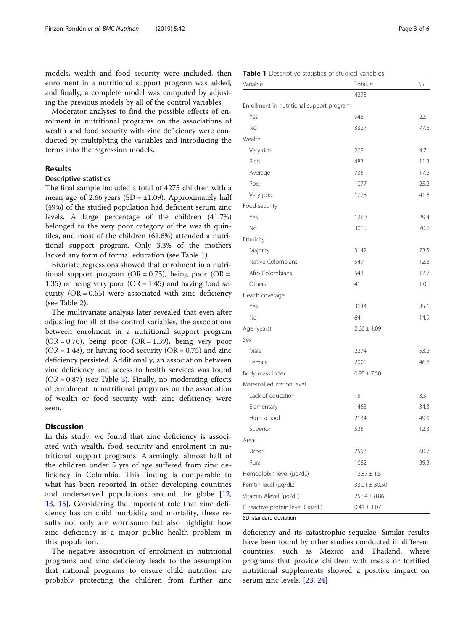models, wealth and food security were included, then enrolment in a nutritional support program was added, and finally, a complete model was computed by adjusting the previous models by all of the control variables.

Moderator analyses to find the possible effects of enrolment in nutritional programs on the associations of wealth and food security with zinc deficiency were conducted by multiplying the variables and introducing the terms into the regression models.

## **Results**

## Descriptive statistics

The final sample included a total of 4275 children with a mean age of 2.66 years (SD =  $\pm$ 1.09). Approximately half (49%) of the studied population had deficient serum zinc levels. A large percentage of the children (41.7%) belonged to the very poor category of the wealth quintiles, and most of the children (61.6%) attended a nutritional support program. Only 3.3% of the mothers lacked any form of formal education (see Table 1).

Bivariate regressions showed that enrolment in a nutritional support program (OR =  $0.75$ ), being poor (OR = 1.35) or being very poor  $(OR = 1.45)$  and having food security  $(OR = 0.65)$  were associated with zinc deficiency (see Table [2](#page-3-0)).

The multivariate analysis later revealed that even after adjusting for all of the control variables, the associations between enrolment in a nutritional support program  $(OR = 0.76)$ , being poor  $(OR = 1.39)$ , being very poor  $(OR = 1.48)$ , or having food security  $(OR = 0.75)$  and zinc deficiency persisted. Additionally, an association between zinc deficiency and access to health services was found  $(OR = 0.87)$  (see Table [3](#page-3-0)). Finally, no moderating effects of enrolment in nutritional programs on the association of wealth or food security with zinc deficiency were seen.

### **Discussion**

In this study, we found that zinc deficiency is associated with wealth, food security and enrolment in nutritional support programs. Alarmingly, almost half of the children under 5 yrs of age suffered from zinc deficiency in Colombia. This finding is comparable to what has been reported in other developing countries and underserved populations around the globe [\[12](#page-5-0), [13,](#page-5-0) [15\]](#page-5-0). Considering the important role that zinc deficiency has on child morbidity and mortality, these results not only are worrisome but also highlight how zinc deficiency is a major public health problem in this population.

The negative association of enrolment in nutritional programs and zinc deficiency leads to the assumption that national programs to ensure child nutrition are probably protecting the children from further zinc

| Variable                                  | Total, n          | %    |
|-------------------------------------------|-------------------|------|
|                                           | 4275              |      |
| Enrollment in nutritional support program |                   |      |
| Yes                                       | 948               | 22.1 |
| <b>No</b>                                 | 3327              | 77.8 |
| Wealth                                    |                   |      |
| Very rich                                 | 202               | 4.7  |
| Rich                                      | 483               | 11.3 |
| Average                                   | 735               | 17.2 |
| Poor                                      | 1077              | 25.2 |
| Very poor                                 | 1778              | 41.6 |
| Food security                             |                   |      |
| Yes                                       | 1260              | 29.4 |
| No                                        | 3015              | 70.6 |
| Ethnicity                                 |                   |      |
| Majority                                  | 3142              | 73.5 |
| Native Colombians                         | 549               | 12.8 |
| Afro Colombians                           | 543               | 12.7 |
| Others                                    | 41                | 1.0  |
| Health coverage                           |                   |      |
| Yes                                       | 3634              | 85.1 |
| No                                        | 641               | 14.9 |
| Age (years)                               | $2.66 \pm 1.09$   |      |
| Sex                                       |                   |      |
| Male                                      | 2274              | 53.2 |
| Female                                    | 2001              | 46.8 |
| Body mass index                           | $0.95 \pm 7.50$   |      |
| Maternal education level                  |                   |      |
| Lack of education                         | 151               | 3.5  |
| Elementary                                | 1465              | 34.3 |
| High school                               | 2134              | 49.9 |
| Superior                                  | 525               | 12.3 |
| Area                                      |                   |      |
| Urban                                     | 2593              | 60.7 |
| Rural                                     | 1682              | 39.3 |
| Hemoglobin level (µg/dL)                  | $12.87 \pm 1.51$  |      |
| Ferritin level (µg/dL)                    | $33.01 \pm 30.50$ |      |
| Vitamin Alevel (µg/dL)                    | $25.84 \pm 8.86$  |      |
| C reactive protein level (µg/dL)          | $0.41 \pm 1.07$   |      |

SD, standard deviation

deficiency and its catastrophic sequelae. Similar results have been found by other studies conducted in different countries, such as Mexico and Thailand, where programs that provide children with meals or fortified nutritional supplements showed a positive impact on serum zinc levels. [\[23,](#page-5-0) [24\]](#page-5-0)

#### Table 1 Descriptive statistics of studied variables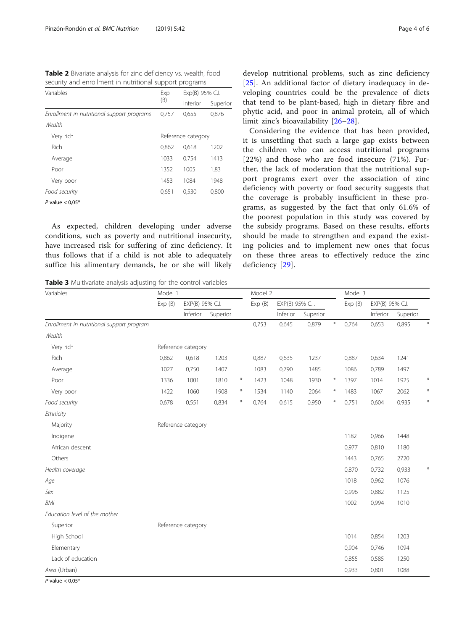<span id="page-3-0"></span>

| Variables                                  | Exp   | Exp(B) 95% C.I.    |          |  |  |  |
|--------------------------------------------|-------|--------------------|----------|--|--|--|
|                                            | (B)   | Inferior           | Superior |  |  |  |
| Enrollment in nutritional support programs | 0,757 | 0,655              | 0.876    |  |  |  |
| Wealth                                     |       |                    |          |  |  |  |
| Very rich                                  |       | Reference category |          |  |  |  |
| Rich                                       | 0.862 | 0,618              | 1202     |  |  |  |
| Average                                    | 1033  | 0,754              | 1413     |  |  |  |
| Poor                                       | 1352  | 1005               | 1,83     |  |  |  |
| Very poor                                  | 1453  | 1084               | 1948     |  |  |  |
| Food security                              | 0,651 | 0,530              | 0,800    |  |  |  |
| $P$ value $\geq 0.05*$                     |       |                    |          |  |  |  |

As expected, children developing under adverse conditions, such as poverty and nutritional insecurity, have increased risk for suffering of zinc deficiency. It thus follows that if a child is not able to adequately suffice his alimentary demands, he or she will likely

Table 3 Multivariate analysis adjusting for the control variables

develop nutritional problems, such as zinc deficiency [[25\]](#page-5-0). An additional factor of dietary inadequacy in developing countries could be the prevalence of diets that tend to be plant-based, high in dietary fibre and phytic acid, and poor in animal protein, all of which limit zinc's bioavailability [[26](#page-5-0)–[28\]](#page-5-0).

Considering the evidence that has been provided, it is unsettling that such a large gap exists between the children who can access nutritional programs [22%) and those who are food insecure (71%). Further, the lack of moderation that the nutritional support programs exert over the association of zinc deficiency with poverty or food security suggests that the coverage is probably insufficient in these programs, as suggested by the fact that only 61.6% of the poorest population in this study was covered by the subsidy programs. Based on these results, efforts should be made to strengthen and expand the existing policies and to implement new ones that focus on these three areas to effectively reduce the zinc deficiency [[29\]](#page-5-0).

| Variables                                 | Model 1 |                    |          | Model 2 |        |                 |          | Model 3          |        |                 |          |        |
|-------------------------------------------|---------|--------------------|----------|---------|--------|-----------------|----------|------------------|--------|-----------------|----------|--------|
|                                           | Exp(B)  | EXP(B) 95% C.I.    |          |         | Exp(B) | EXP(B) 95% C.I. |          |                  | Exp(B) | EXP(B) 95% C.I. |          |        |
|                                           |         | Inferior           | Superior |         |        | Inferior        | Superior |                  |        | Inferior        | Superior |        |
| Enrollment in nutritional support program |         |                    |          |         | 0,753  | 0,645           | 0,879    | $\divideontimes$ | 0,764  | 0,653           | 0,895    |        |
| Wealth                                    |         |                    |          |         |        |                 |          |                  |        |                 |          |        |
| Very rich                                 |         | Reference category |          |         |        |                 |          |                  |        |                 |          |        |
| Rich                                      | 0,862   | 0,618              | 1203     |         | 0,887  | 0,635           | 1237     |                  | 0,887  | 0,634           | 1241     |        |
| Average                                   | 1027    | 0,750              | 1407     |         | 1083   | 0,790           | 1485     |                  | 1086   | 0,789           | 1497     |        |
| Poor                                      | 1336    | 1001               | 1810     | $\ast$  | 1423   | 1048            | 1930     | $\ast$           | 1397   | 1014            | 1925     | $\ast$ |
| Very poor                                 | 1422    | 1060               | 1908     | $\ast$  | 1534   | 1140            | 2064     | $\ast$           | 1483   | 1067            | 2062     | $\ast$ |
| Food security                             | 0,678   | 0,551              | 0,834    | $\ast$  | 0,764  | 0,615           | 0,950    | $\ast$           | 0,751  | 0,604           | 0,935    | $\ast$ |
| Ethnicity                                 |         |                    |          |         |        |                 |          |                  |        |                 |          |        |
| Majority                                  |         | Reference category |          |         |        |                 |          |                  |        |                 |          |        |
| Indigene                                  |         |                    |          |         |        |                 |          |                  | 1182   | 0,966           | 1448     |        |
| African descent                           |         |                    |          |         |        |                 |          |                  | 0,977  | 0,810           | 1180     |        |
| Others                                    |         |                    |          |         |        |                 |          |                  | 1443   | 0,765           | 2720     |        |
| Health coverage                           |         |                    |          |         |        |                 |          |                  | 0,870  | 0,732           | 0,933    |        |
| Age                                       |         |                    |          |         |        |                 |          |                  | 1018   | 0,962           | 1076     |        |
| Sex                                       |         |                    |          |         |        |                 |          |                  | 0,996  | 0,882           | 1125     |        |
| <b>BMI</b>                                |         |                    |          |         |        |                 |          |                  | 1002   | 0,994           | 1010     |        |
| Education level of the mother             |         |                    |          |         |        |                 |          |                  |        |                 |          |        |
| Superior                                  |         | Reference category |          |         |        |                 |          |                  |        |                 |          |        |
| High School                               |         |                    |          |         |        |                 |          |                  | 1014   | 0,854           | 1203     |        |
| Elementary                                |         |                    |          |         |        |                 |          |                  | 0,904  | 0,746           | 1094     |        |
| Lack of education                         |         |                    |          |         |        |                 |          |                  | 0,855  | 0,585           | 1250     |        |
| Area (Urban)                              |         |                    |          |         |        |                 |          |                  | 0,933  | 0,801           | 1088     |        |

P value  $< 0.05$ <sup>\*</sup>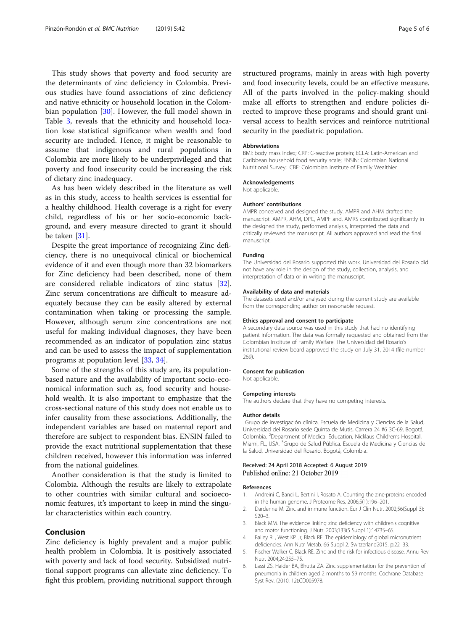<span id="page-4-0"></span>This study shows that poverty and food security are the determinants of zinc deficiency in Colombia. Previous studies have found associations of zinc deficiency and native ethnicity or household location in the Colombian population [[30\]](#page-5-0). However, the full model shown in Table [3](#page-3-0), reveals that the ethnicity and household location lose statistical significance when wealth and food security are included. Hence, it might be reasonable to assume that indigenous and rural populations in Colombia are more likely to be underprivileged and that poverty and food insecurity could be increasing the risk of dietary zinc inadequacy.

As has been widely described in the literature as well as in this study, access to health services is essential for a healthy childhood. Health coverage is a right for every child, regardless of his or her socio-economic background, and every measure directed to grant it should be taken [[31](#page-5-0)].

Despite the great importance of recognizing Zinc deficiency, there is no unequivocal clinical or biochemical evidence of it and even though more than 32 biomarkers for Zinc deficiency had been described, none of them are considered reliable indicators of zinc status [\[32](#page-5-0)]. Zinc serum concentrations are difficult to measure adequately because they can be easily altered by external contamination when taking or processing the sample. However, although serum zinc concentrations are not useful for making individual diagnoses, they have been recommended as an indicator of population zinc status and can be used to assess the impact of supplementation programs at population level [[33](#page-5-0), [34](#page-5-0)].

Some of the strengths of this study are, its populationbased nature and the availability of important socio-economical information such as, food security and household wealth. It is also important to emphasize that the cross-sectional nature of this study does not enable us to infer causality from these associations. Additionally, the independent variables are based on maternal report and therefore are subject to respondent bias. ENSIN failed to provide the exact nutritional supplementation that these children received, however this information was inferred from the national guidelines.

Another consideration is that the study is limited to Colombia. Although the results are likely to extrapolate to other countries with similar cultural and socioeconomic features, it's important to keep in mind the singular characteristics within each country.

#### Conclusion

Zinc deficiency is highly prevalent and a major public health problem in Colombia. It is positively associated with poverty and lack of food security. Subsidized nutritional support programs can alleviate zinc deficiency. To fight this problem, providing nutritional support through structured programs, mainly in areas with high poverty and food insecurity levels, could be an effective measure. All of the parts involved in the policy-making should make all efforts to strengthen and endure policies directed to improve these programs and should grant universal access to health services and reinforce nutritional security in the paediatric population.

#### Abbreviations

BMI: body mass index; CRP: C-reactive protein; ECLA: Latin-American and Caribbean household food security scale; ENSIN: Colombian National Nutritional Survey; ICBF: Colombian Institute of Family Wealthier

#### Acknowledgements

Not applicable.

#### Authors' contributions

AMPR conceived and designed the study. AMPR and AHM drafted the manuscript. AMPR, AHM, DPC, AMPF and, AMRS contributed significantly in the designed the study, performed analysis, interpreted the data and critically reviewed the manuscript. All authors approved and read the final manuscript.

#### Funding

The Universidad del Rosario supported this work. Universidad del Rosario did not have any role in the design of the study, collection, analysis, and interpretation of data or in writing the manuscript.

#### Availability of data and materials

The datasets used and/or analysed during the current study are available from the corresponding author on reasonable request.

#### Ethics approval and consent to participate

A secondary data source was used in this study that had no identifying patient information. The data was formally requested and obtained from the Colombian Institute of Family Welfare. The Universidad del Rosario's institutional review board approved the study on July 31, 2014 (file number 269).

#### Consent for publication

Not applicable.

## Competing interests

The authors declare that they have no competing interests.

#### Author details

<sup>1</sup>Grupo de investigación clínica. Escuela de Medicina y Ciencias de la Salud, Universidad del Rosario sede Quinta de Mutis, Carrera 24 #6 3C-69, Bogotá, Colombia. <sup>2</sup>Department of Medical Education, Nicklaus Children's Hospital Miami, FL, USA. <sup>3</sup>Grupo de Salud Pública. Escuela de Medicina y Ciencias de la Salud, Universidad del Rosario, Bogotá, Colombia.

#### Received: 24 April 2018 Accepted: 6 August 2019 Published online: 21 October 2019

#### References

- Andreini C, Banci L, Bertini I, Rosato A. Counting the zinc-proteins encoded in the human genome. J Proteome Res. 2006;5(1):196–201.
- 2. Dardenne M. Zinc and immune function. Eur J Clin Nutr. 2002;56(Suppl 3): S20–3.
- 3. Black MM. The evidence linking zinc deficiency with children's cognitive and motor functioning. J Nutr. 2003;133(5 Suppl 1):1473S–6S.
- 4. Bailey RL, West KP Jr, Black RE. The epidemiology of global micronutrient deficiencies. Ann Nutr Metab. 66 Suppl 2. Switzerland2015. p:22–33.
- 5. Fischer Walker C, Black RE. Zinc and the risk for infectious disease. Annu Rev Nutr. 2004;24:255–75.
- 6. Lassi ZS, Haider BA, Bhutta ZA. Zinc supplementation for the prevention of pneumonia in children aged 2 months to 59 months. Cochrane Database Syst Rev. (2010, 12):CD005978.